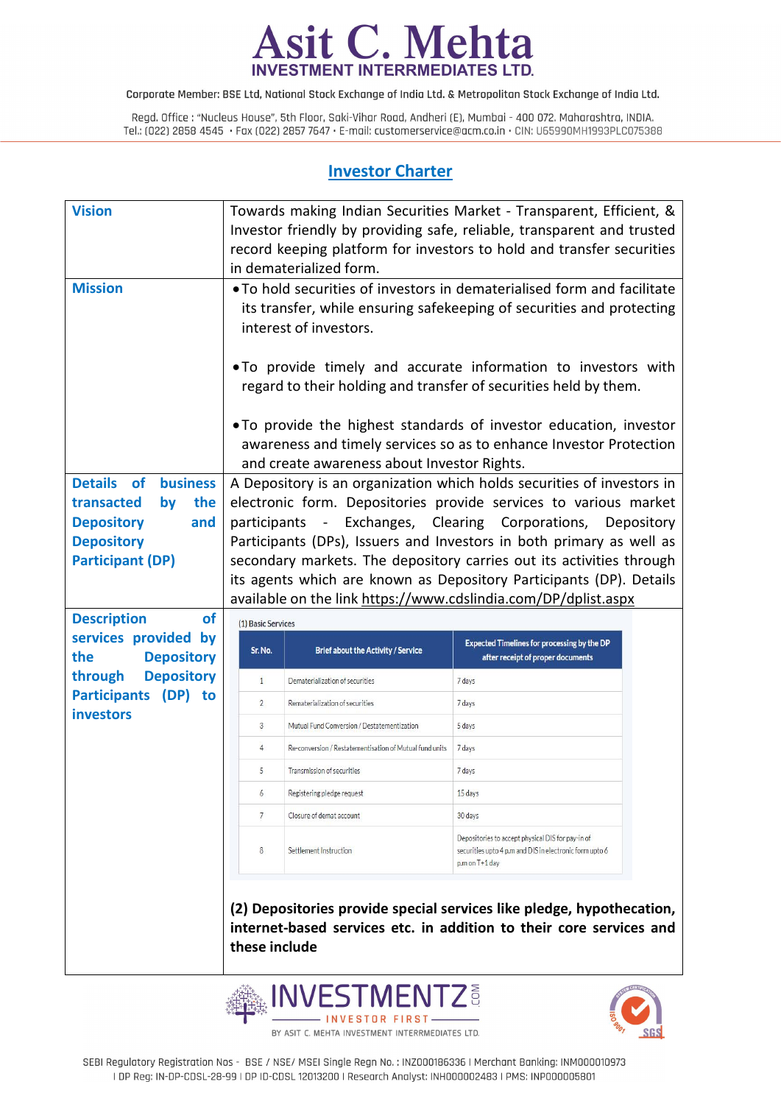

Regd. Office: "Nucleus House", 5th Floor, Saki-Vihar Road, Andheri (E), Mumbai - 400 072. Maharashtra, INDIA. Tel.: (022) 2858 4545 Fax (022) 2857 7647 E-mail: customerservice@acm.co.in CIN: U65990MH1993PLC075388

## **Investor Charter**

| <b>Vision</b>                                    |                                                                                                                                                                                         | Towards making Indian Securities Market - Transparent, Efficient, &<br>Investor friendly by providing safe, reliable, transparent and trusted<br>record keeping platform for investors to hold and transfer securities<br>in dematerialized form. |                                                                                         |            |  |  |  |  |
|--------------------------------------------------|-----------------------------------------------------------------------------------------------------------------------------------------------------------------------------------------|---------------------------------------------------------------------------------------------------------------------------------------------------------------------------------------------------------------------------------------------------|-----------------------------------------------------------------------------------------|------------|--|--|--|--|
| <b>Mission</b>                                   | . To hold securities of investors in dematerialised form and facilitate<br>its transfer, while ensuring safekeeping of securities and protecting<br>interest of investors.              |                                                                                                                                                                                                                                                   |                                                                                         |            |  |  |  |  |
|                                                  | . To provide timely and accurate information to investors with<br>regard to their holding and transfer of securities held by them.                                                      |                                                                                                                                                                                                                                                   |                                                                                         |            |  |  |  |  |
|                                                  | • To provide the highest standards of investor education, investor<br>awareness and timely services so as to enhance Investor Protection<br>and create awareness about Investor Rights. |                                                                                                                                                                                                                                                   |                                                                                         |            |  |  |  |  |
| Details of<br><b>business</b>                    |                                                                                                                                                                                         | A Depository is an organization which holds securities of investors in                                                                                                                                                                            |                                                                                         |            |  |  |  |  |
| the<br>transacted<br>by                          |                                                                                                                                                                                         | electronic form. Depositories provide services to various market                                                                                                                                                                                  |                                                                                         |            |  |  |  |  |
| <b>Depository</b><br>and                         |                                                                                                                                                                                         | participants - Exchanges, Clearing Corporations,                                                                                                                                                                                                  |                                                                                         | Depository |  |  |  |  |
| <b>Depository</b>                                | Participants (DPs), Issuers and Investors in both primary as well as                                                                                                                    |                                                                                                                                                                                                                                                   |                                                                                         |            |  |  |  |  |
|                                                  |                                                                                                                                                                                         |                                                                                                                                                                                                                                                   |                                                                                         |            |  |  |  |  |
| <b>Participant (DP)</b>                          |                                                                                                                                                                                         | secondary markets. The depository carries out its activities through                                                                                                                                                                              |                                                                                         |            |  |  |  |  |
|                                                  |                                                                                                                                                                                         | its agents which are known as Depository Participants (DP). Details                                                                                                                                                                               |                                                                                         |            |  |  |  |  |
|                                                  |                                                                                                                                                                                         | available on the link https://www.cdslindia.com/DP/dplist.aspx                                                                                                                                                                                    |                                                                                         |            |  |  |  |  |
| <b>Description</b><br>of                         | (1) Basic Services                                                                                                                                                                      |                                                                                                                                                                                                                                                   |                                                                                         |            |  |  |  |  |
| services provided by<br>the<br><b>Depository</b> | Sr. No.                                                                                                                                                                                 | <b>Brief about the Activity / Service</b>                                                                                                                                                                                                         | <b>Expected Timelines for processing by the DP</b><br>after receipt of proper documents |            |  |  |  |  |
| <b>Depository</b><br>through                     | 1                                                                                                                                                                                       | Dematerialization of securities                                                                                                                                                                                                                   | 7 days                                                                                  |            |  |  |  |  |
| Participants (DP) to                             | $\overline{2}$                                                                                                                                                                          | Rematerialization of securities                                                                                                                                                                                                                   | 7 days                                                                                  |            |  |  |  |  |
| <b>investors</b>                                 | $\mathbf{3}$                                                                                                                                                                            | Mutual Fund Conversion / Destatementization                                                                                                                                                                                                       | 5 days                                                                                  |            |  |  |  |  |
|                                                  | $4 -$                                                                                                                                                                                   | Re-conversion / Restatementisation of Mutual fund units                                                                                                                                                                                           | 7 days                                                                                  |            |  |  |  |  |
|                                                  | $5 -$                                                                                                                                                                                   | Transmission of securities                                                                                                                                                                                                                        | 7 days                                                                                  |            |  |  |  |  |
|                                                  | 6                                                                                                                                                                                       | Registering pledge request                                                                                                                                                                                                                        | 15 days                                                                                 |            |  |  |  |  |
|                                                  | $7\overline{ }$                                                                                                                                                                         | Closure of demat account                                                                                                                                                                                                                          | 30 days                                                                                 |            |  |  |  |  |



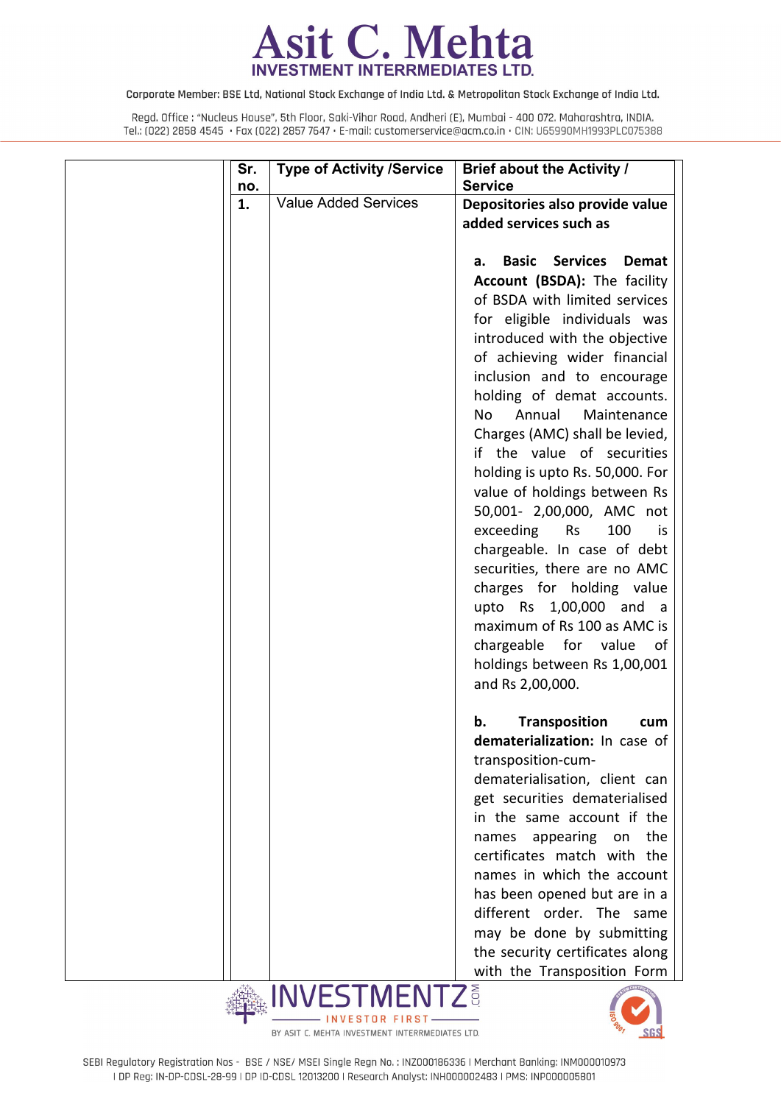

| Sr.<br>no. | <b>Type of Activity /Service</b> | <b>Brief about the Activity /</b><br><b>Service</b>   |
|------------|----------------------------------|-------------------------------------------------------|
| 1.         | <b>Value Added Services</b>      | Depositories also provide value                       |
|            |                                  | added services such as                                |
|            |                                  | <b>Services</b><br><b>Basic</b><br><b>Demat</b><br>а. |
|            |                                  | Account (BSDA): The facility                          |
|            |                                  | of BSDA with limited services                         |
|            |                                  | for eligible individuals was                          |
|            |                                  | introduced with the objective                         |
|            |                                  | of achieving wider financial                          |
|            |                                  | inclusion and to encourage                            |
|            |                                  | holding of demat accounts.                            |
|            |                                  | Annual<br>Maintenance<br>No                           |
|            |                                  | Charges (AMC) shall be levied,                        |
|            |                                  | if the value of securities                            |
|            |                                  | holding is upto Rs. 50,000. For                       |
|            |                                  | value of holdings between Rs                          |
|            |                                  | 50,001- 2,00,000, AMC not                             |
|            |                                  | exceeding<br><b>Rs</b><br>100<br>is                   |
|            |                                  | chargeable. In case of debt                           |
|            |                                  | securities, there are no AMC                          |
|            |                                  | charges for holding value                             |
|            |                                  | upto Rs 1,00,000 and a                                |
|            |                                  | maximum of Rs 100 as AMC is                           |
|            |                                  | chargeable for value<br>of                            |
|            |                                  | holdings between Rs 1,00,001                          |
|            |                                  | and Rs 2,00,000.                                      |
|            |                                  | <b>Transposition</b><br>b.<br>cum                     |
|            |                                  | dematerialization: In case of                         |
|            |                                  | transposition-cum-                                    |
|            |                                  | dematerialisation, client can                         |
|            |                                  | get securities dematerialised                         |
|            |                                  | in the same account if the                            |
|            |                                  | appearing on<br>the<br>names                          |
|            |                                  | certificates match with the                           |
|            |                                  | names in which the account                            |
|            |                                  | has been opened but are in a                          |
|            |                                  | different order. The same                             |
|            |                                  | may be done by submitting                             |
|            |                                  | the security certificates along                       |
| 武装型        | INIVICT                          | with the Transposition Form                           |



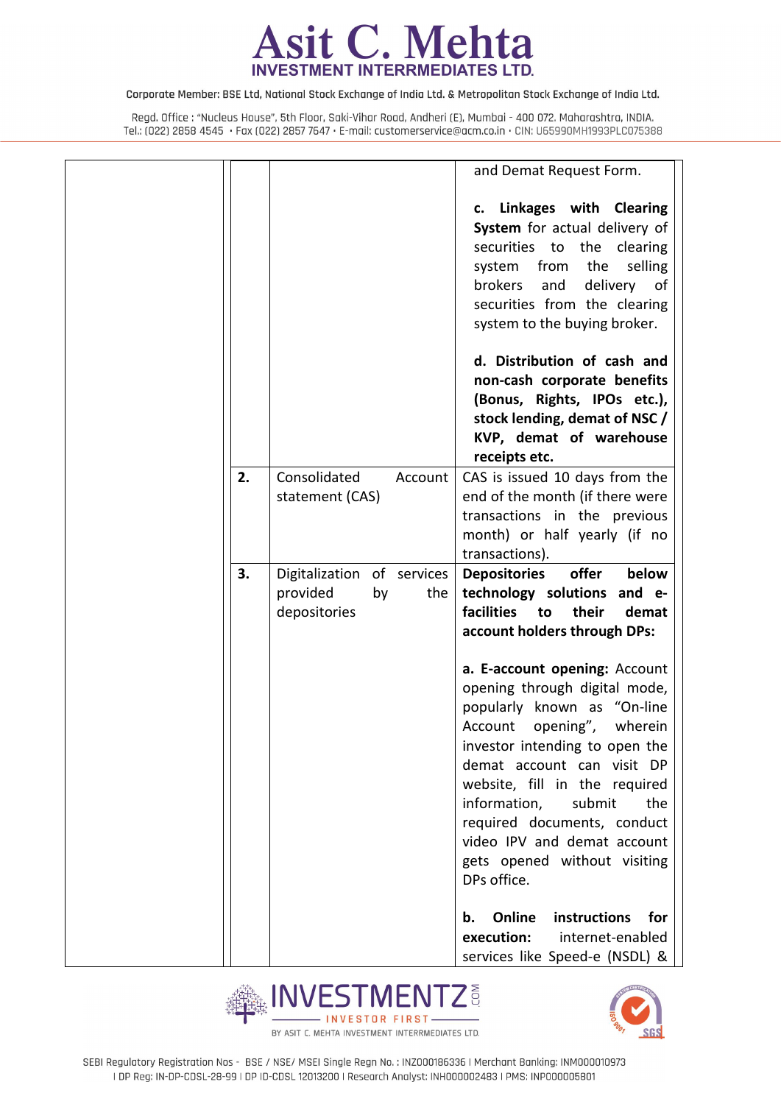

|    |                                                                     | and Demat Request Form.                                                                                                                                                                                                                                                                                                                                                                                                                                                                                                           |
|----|---------------------------------------------------------------------|-----------------------------------------------------------------------------------------------------------------------------------------------------------------------------------------------------------------------------------------------------------------------------------------------------------------------------------------------------------------------------------------------------------------------------------------------------------------------------------------------------------------------------------|
|    |                                                                     | c. Linkages with Clearing<br>System for actual delivery of<br>securities to the clearing<br>system from the selling<br>brokers<br>and<br>delivery of<br>securities from the clearing<br>system to the buying broker.                                                                                                                                                                                                                                                                                                              |
|    |                                                                     | d. Distribution of cash and<br>non-cash corporate benefits<br>(Bonus, Rights, IPOs etc.),<br>stock lending, demat of NSC /<br>KVP, demat of warehouse<br>receipts etc.                                                                                                                                                                                                                                                                                                                                                            |
| 2. | Consolidated<br>Account<br>statement (CAS)                          | CAS is issued 10 days from the<br>end of the month (if there were<br>transactions in the previous<br>month) or half yearly (if no<br>transactions).                                                                                                                                                                                                                                                                                                                                                                               |
| 3. | Digitalization of services<br>provided<br>by<br>the<br>depositories | offer<br>below<br><b>Depositories</b><br>technology solutions and e-<br><b>facilities</b><br>to<br>their<br>demat<br>account holders through DPs:<br>a. E-account opening: Account<br>opening through digital mode,<br>popularly known as "On-line<br>Account opening",<br>wherein<br>investor intending to open the<br>demat account can visit DP<br>website, fill in the required<br>information,<br>submit<br>the<br>required documents, conduct<br>video IPV and demat account<br>gets opened without visiting<br>DPs office. |
|    |                                                                     | Online<br>instructions for<br>b.<br>execution:<br>internet-enabled<br>services like Speed-e (NSDL) &                                                                                                                                                                                                                                                                                                                                                                                                                              |



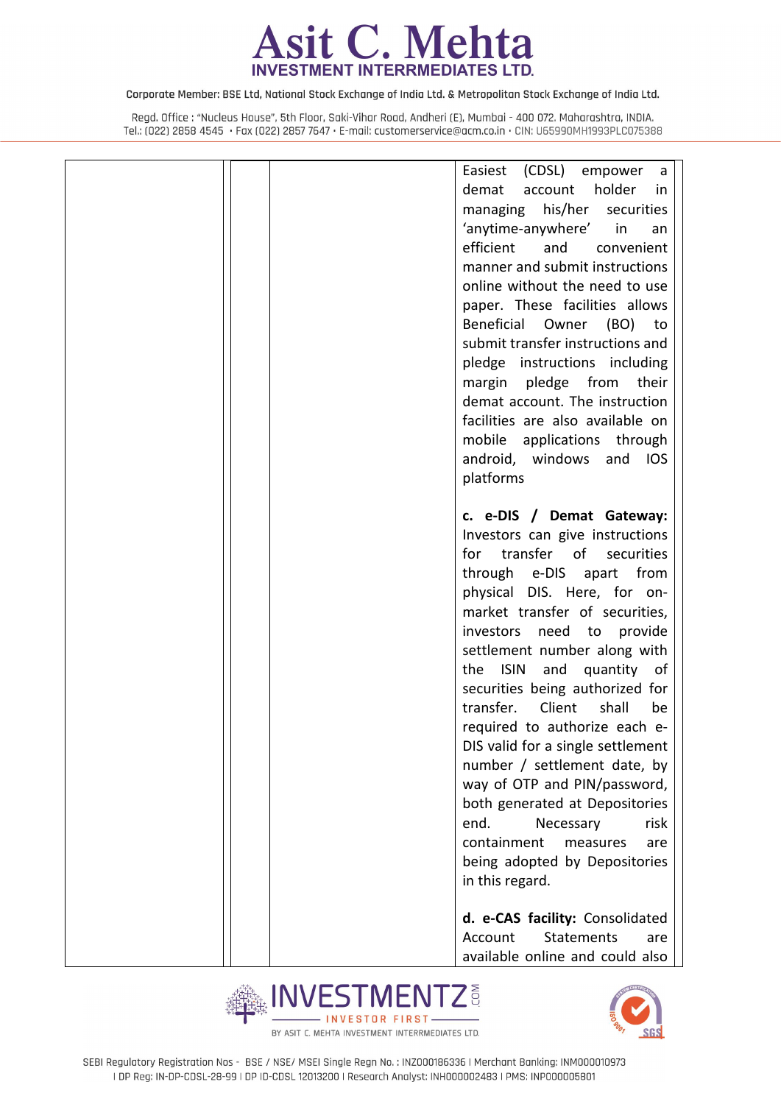

|  | Easiest (CDSL) empower a<br>holder<br>demat<br>account<br>in.<br>managing his/her<br>securities<br>'anytime-anywhere'<br>in<br>an<br>efficient<br>and<br>convenient<br>manner and submit instructions<br>online without the need to use<br>paper. These facilities allows<br>Beneficial<br>Owner<br>(BO)<br>to<br>submit transfer instructions and<br>pledge instructions including<br>margin pledge from<br>their                                                                                                                                                                                                                                                               |
|--|----------------------------------------------------------------------------------------------------------------------------------------------------------------------------------------------------------------------------------------------------------------------------------------------------------------------------------------------------------------------------------------------------------------------------------------------------------------------------------------------------------------------------------------------------------------------------------------------------------------------------------------------------------------------------------|
|  | demat account. The instruction<br>facilities are also available on<br>mobile applications through<br>android, windows and IOS<br>platforms                                                                                                                                                                                                                                                                                                                                                                                                                                                                                                                                       |
|  | c. e-DIS / Demat Gateway:<br>Investors can give instructions<br>transfer of securities<br>for<br>through e-DIS apart from<br>physical DIS. Here, for on-<br>market transfer of securities,<br>investors<br>need to<br>provide<br>settlement number along with<br><b>ISIN</b><br>the<br>and<br>quantity<br>of<br>securities being authorized for<br>transfer.<br>Client<br>shall<br>be<br>required to authorize each e-<br>DIS valid for a single settlement<br>number / settlement date, by<br>way of OTP and PIN/password,<br>both generated at Depositories<br>end.<br>risk<br>Necessary<br>containment<br>measures<br>are<br>being adopted by Depositories<br>in this regard. |
|  | d. e-CAS facility: Consolidated<br><b>Statements</b><br>Account<br>are<br>available online and could also                                                                                                                                                                                                                                                                                                                                                                                                                                                                                                                                                                        |



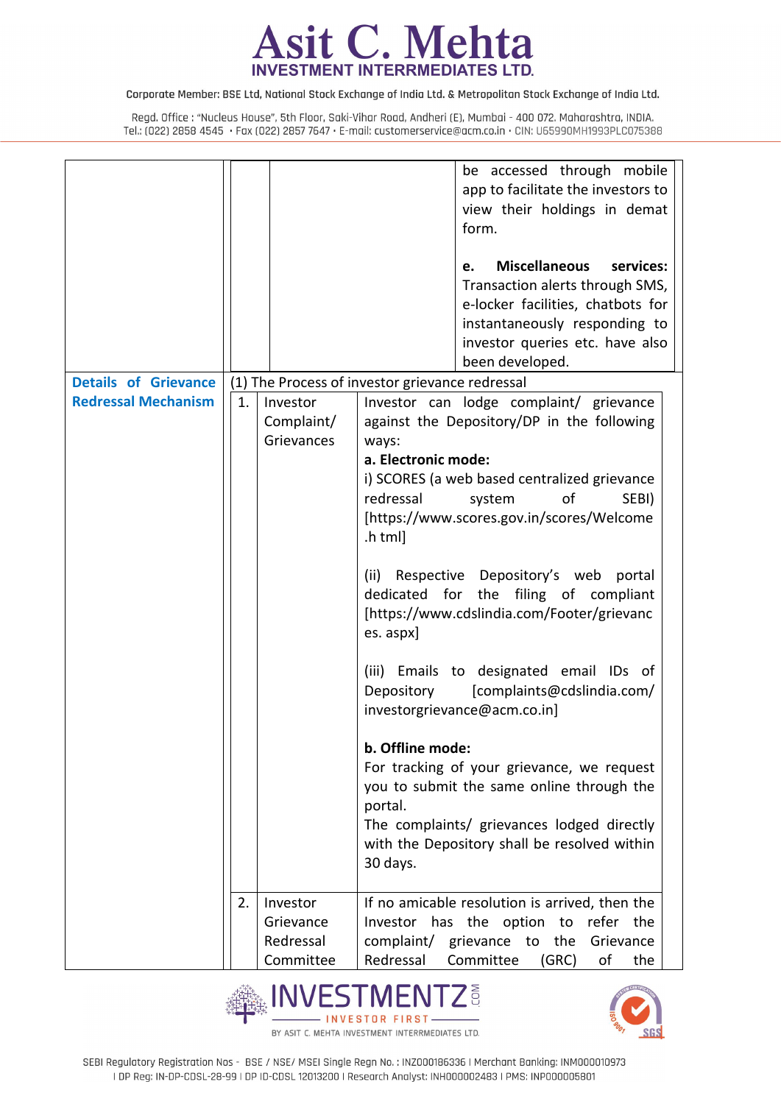

|                             |    |            | be accessed through mobile                      |
|-----------------------------|----|------------|-------------------------------------------------|
|                             |    |            | app to facilitate the investors to              |
|                             |    |            | view their holdings in demat                    |
|                             |    |            | form.                                           |
|                             |    |            |                                                 |
|                             |    |            | <b>Miscellaneous</b><br>services:<br>e.         |
|                             |    |            | Transaction alerts through SMS,                 |
|                             |    |            | e-locker facilities, chatbots for               |
|                             |    |            | instantaneously responding to                   |
|                             |    |            | investor queries etc. have also                 |
|                             |    |            | been developed.                                 |
| <b>Details of Grievance</b> |    |            | (1) The Process of investor grievance redressal |
| <b>Redressal Mechanism</b>  | 1. | Investor   | Investor can lodge complaint/ grievance         |
|                             |    | Complaint/ | against the Depository/DP in the following      |
|                             |    | Grievances | ways:                                           |
|                             |    |            | a. Electronic mode:                             |
|                             |    |            | i) SCORES (a web based centralized grievance    |
|                             |    |            | redressal<br>of<br>system<br>SEBI)              |
|                             |    |            | [https://www.scores.gov.in/scores/Welcome       |
|                             |    |            | .html                                           |
|                             |    |            |                                                 |
|                             |    |            | (ii) Respective Depository's web portal         |
|                             |    |            | dedicated for the filing of compliant           |
|                             |    |            | [https://www.cdslindia.com/Footer/grievanc      |
|                             |    |            | es. aspx]                                       |
|                             |    |            |                                                 |
|                             |    |            | (iii) Emails to designated email IDs of         |
|                             |    |            | Depository<br>[complaints@cdslindia.com/        |
|                             |    |            | investorgrievance@acm.co.in]                    |
|                             |    |            |                                                 |
|                             |    |            | b. Offline mode:                                |
|                             |    |            | For tracking of your grievance, we request      |
|                             |    |            | you to submit the same online through the       |
|                             |    |            | portal.                                         |
|                             |    |            | The complaints/ grievances lodged directly      |
|                             |    |            | with the Depository shall be resolved within    |
|                             |    |            |                                                 |
|                             |    |            | 30 days.                                        |
|                             |    |            |                                                 |
|                             | 2. | Investor   | If no amicable resolution is arrived, then the  |
|                             |    | Grievance  | Investor has the option to refer the            |
|                             |    | Redressal  | complaint/ grievance to the Grievance           |
|                             |    | Committee  | Redressal<br>Committee<br>(GRC)<br>of<br>the    |